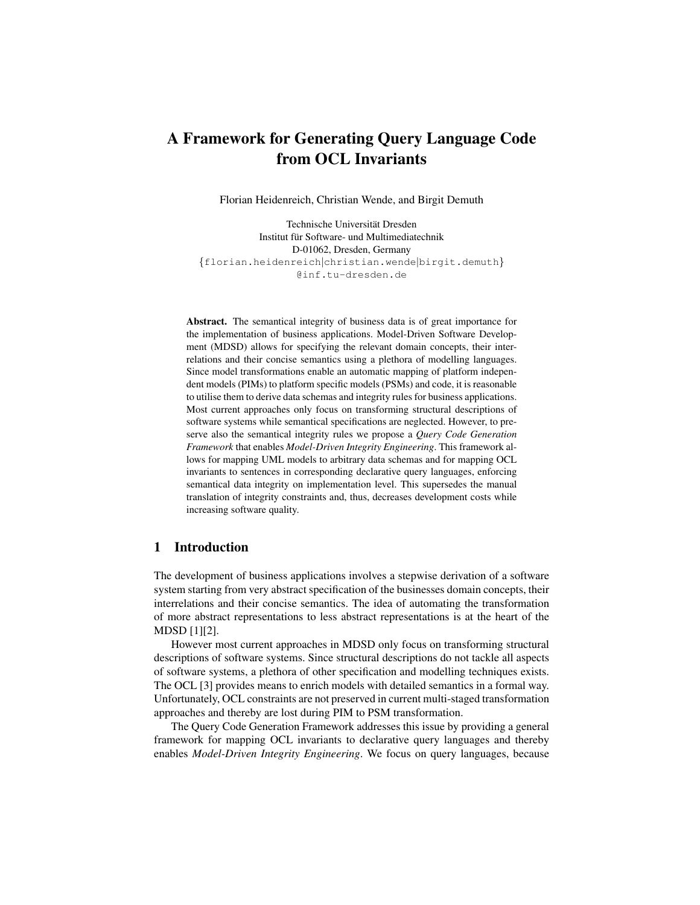# A Framework for Generating Query Language Code from OCL Invariants

Florian Heidenreich, Christian Wende, and Birgit Demuth

Technische Universität Dresden Institut für Software- und Multimediatechnik D-01062, Dresden, Germany {florian.heidenreich|christian.wende|birgit.demuth} @inf.tu-dresden.de

Abstract. The semantical integrity of business data is of great importance for the implementation of business applications. Model-Driven Software Development (MDSD) allows for specifying the relevant domain concepts, their interrelations and their concise semantics using a plethora of modelling languages. Since model transformations enable an automatic mapping of platform independent models (PIMs) to platform specific models (PSMs) and code, it is reasonable to utilise them to derive data schemas and integrity rules for business applications. Most current approaches only focus on transforming structural descriptions of software systems while semantical specifications are neglected. However, to preserve also the semantical integrity rules we propose a *Query Code Generation Framework* that enables *Model-Driven Integrity Engineering*. This framework allows for mapping UML models to arbitrary data schemas and for mapping OCL invariants to sentences in corresponding declarative query languages, enforcing semantical data integrity on implementation level. This supersedes the manual translation of integrity constraints and, thus, decreases development costs while increasing software quality.

# 1 Introduction

The development of business applications involves a stepwise derivation of a software system starting from very abstract specification of the businesses domain concepts, their interrelations and their concise semantics. The idea of automating the transformation of more abstract representations to less abstract representations is at the heart of the MDSD [1][2].

However most current approaches in MDSD only focus on transforming structural descriptions of software systems. Since structural descriptions do not tackle all aspects of software systems, a plethora of other specification and modelling techniques exists. The OCL [3] provides means to enrich models with detailed semantics in a formal way. Unfortunately, OCL constraints are not preserved in current multi-staged transformation approaches and thereby are lost during PIM to PSM transformation.

The Query Code Generation Framework addresses this issue by providing a general framework for mapping OCL invariants to declarative query languages and thereby enables *Model-Driven Integrity Engineering*. We focus on query languages, because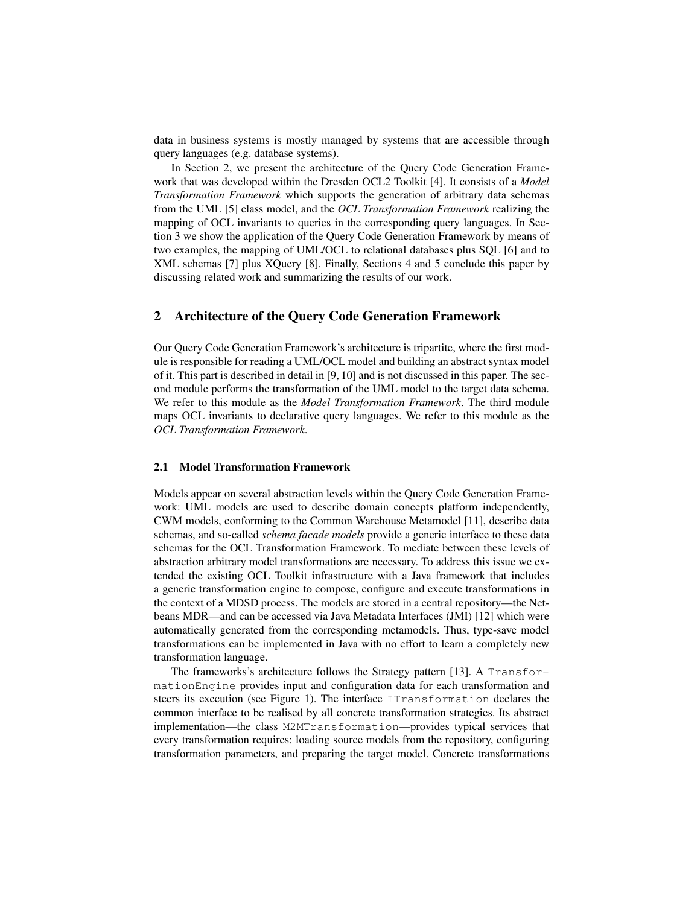data in business systems is mostly managed by systems that are accessible through query languages (e.g. database systems).

In Section 2, we present the architecture of the Query Code Generation Framework that was developed within the Dresden OCL2 Toolkit [4]. It consists of a *Model Transformation Framework* which supports the generation of arbitrary data schemas from the UML [5] class model, and the *OCL Transformation Framework* realizing the mapping of OCL invariants to queries in the corresponding query languages. In Section 3 we show the application of the Query Code Generation Framework by means of two examples, the mapping of UML/OCL to relational databases plus SQL [6] and to XML schemas [7] plus XQuery [8]. Finally, Sections 4 and 5 conclude this paper by discussing related work and summarizing the results of our work.

### 2 Architecture of the Query Code Generation Framework

Our Query Code Generation Framework's architecture is tripartite, where the first module is responsible for reading a UML/OCL model and building an abstract syntax model of it. This part is described in detail in [9, 10] and is not discussed in this paper. The second module performs the transformation of the UML model to the target data schema. We refer to this module as the *Model Transformation Framework*. The third module maps OCL invariants to declarative query languages. We refer to this module as the *OCL Transformation Framework*.

#### 2.1 Model Transformation Framework

Models appear on several abstraction levels within the Query Code Generation Framework: UML models are used to describe domain concepts platform independently, CWM models, conforming to the Common Warehouse Metamodel [11], describe data schemas, and so-called *schema facade models* provide a generic interface to these data schemas for the OCL Transformation Framework. To mediate between these levels of abstraction arbitrary model transformations are necessary. To address this issue we extended the existing OCL Toolkit infrastructure with a Java framework that includes a generic transformation engine to compose, configure and execute transformations in the context of a MDSD process. The models are stored in a central repository—the Netbeans MDR—and can be accessed via Java Metadata Interfaces (JMI) [12] which were automatically generated from the corresponding metamodels. Thus, type-save model transformations can be implemented in Java with no effort to learn a completely new transformation language.

The frameworks's architecture follows the Strategy pattern [13]. A TransformationEngine provides input and configuration data for each transformation and steers its execution (see Figure 1). The interface ITransformation declares the common interface to be realised by all concrete transformation strategies. Its abstract implementation—the class M2MTransformation—provides typical services that every transformation requires: loading source models from the repository, configuring transformation parameters, and preparing the target model. Concrete transformations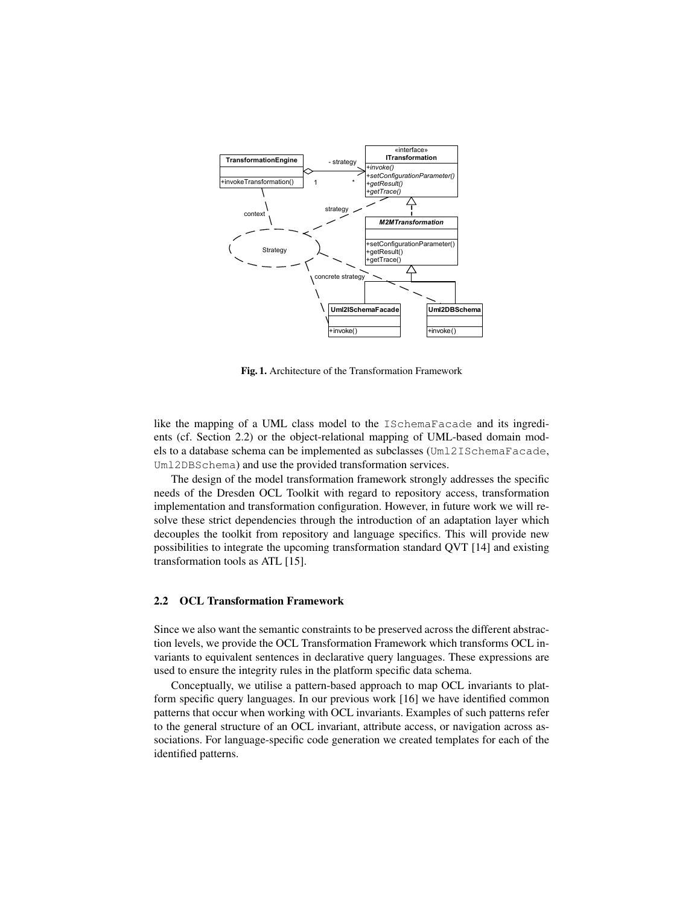

Fig. 1. Architecture of the Transformation Framework

like the mapping of a UML class model to the ISchemaFacade and its ingredients (cf. Section 2.2) or the object-relational mapping of UML-based domain models to a database schema can be implemented as subclasses (Uml2ISchemaFacade, Uml2DBSchema) and use the provided transformation services.

The design of the model transformation framework strongly addresses the specific needs of the Dresden OCL Toolkit with regard to repository access, transformation implementation and transformation configuration. However, in future work we will resolve these strict dependencies through the introduction of an adaptation layer which decouples the toolkit from repository and language specifics. This will provide new possibilities to integrate the upcoming transformation standard QVT [14] and existing transformation tools as ATL [15].

### 2.2 OCL Transformation Framework

Since we also want the semantic constraints to be preserved across the different abstraction levels, we provide the OCL Transformation Framework which transforms OCL invariants to equivalent sentences in declarative query languages. These expressions are used to ensure the integrity rules in the platform specific data schema.

Conceptually, we utilise a pattern-based approach to map OCL invariants to platform specific query languages. In our previous work [16] we have identified common patterns that occur when working with OCL invariants. Examples of such patterns refer to the general structure of an OCL invariant, attribute access, or navigation across associations. For language-specific code generation we created templates for each of the identified patterns.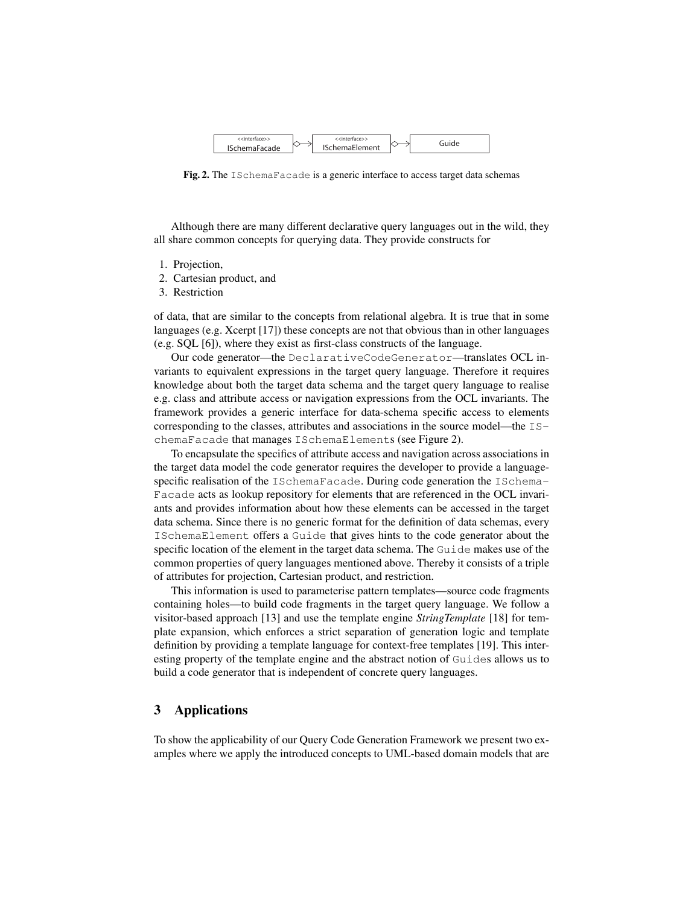

Fig. 2. The ISchemaFacade is a generic interface to access target data schemas

Although there are many different declarative query languages out in the wild, they all share common concepts for querying data. They provide constructs for

- 1. Projection,
- 2. Cartesian product, and
- 3. Restriction

of data, that are similar to the concepts from relational algebra. It is true that in some languages (e.g. Xcerpt [17]) these concepts are not that obvious than in other languages (e.g. SQL [6]), where they exist as first-class constructs of the language.

Our code generator—the DeclarativeCodeGenerator—translates OCL invariants to equivalent expressions in the target query language. Therefore it requires knowledge about both the target data schema and the target query language to realise e.g. class and attribute access or navigation expressions from the OCL invariants. The framework provides a generic interface for data-schema specific access to elements corresponding to the classes, attributes and associations in the source model—the ISchemaFacade that manages ISchemaElements (see Figure 2).

To encapsulate the specifics of attribute access and navigation across associations in the target data model the code generator requires the developer to provide a languagespecific realisation of the ISchemaFacade. During code generation the ISchema-Facade acts as lookup repository for elements that are referenced in the OCL invariants and provides information about how these elements can be accessed in the target data schema. Since there is no generic format for the definition of data schemas, every ISchemaElement offers a Guide that gives hints to the code generator about the specific location of the element in the target data schema. The Guide makes use of the common properties of query languages mentioned above. Thereby it consists of a triple of attributes for projection, Cartesian product, and restriction.

This information is used to parameterise pattern templates—source code fragments containing holes—to build code fragments in the target query language. We follow a visitor-based approach [13] and use the template engine *StringTemplate* [18] for template expansion, which enforces a strict separation of generation logic and template definition by providing a template language for context-free templates [19]. This interesting property of the template engine and the abstract notion of Guides allows us to build a code generator that is independent of concrete query languages.

## 3 Applications

To show the applicability of our Query Code Generation Framework we present two examples where we apply the introduced concepts to UML-based domain models that are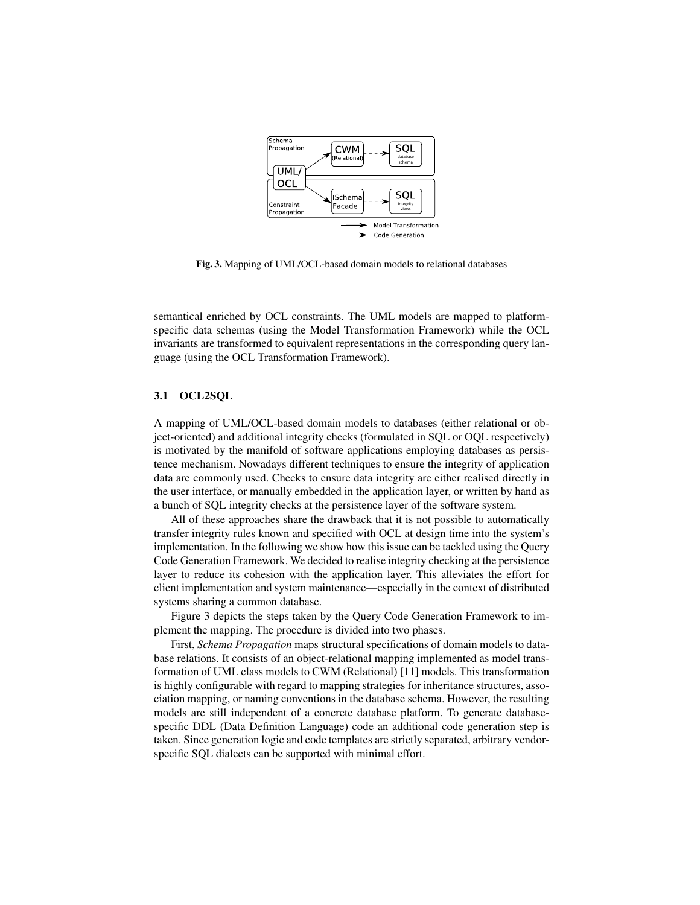

Fig. 3. Mapping of UML/OCL-based domain models to relational databases

semantical enriched by OCL constraints. The UML models are mapped to platformspecific data schemas (using the Model Transformation Framework) while the OCL invariants are transformed to equivalent representations in the corresponding query language (using the OCL Transformation Framework).

### 3.1 OCL2SQL

A mapping of UML/OCL-based domain models to databases (either relational or object-oriented) and additional integrity checks (formulated in SQL or OQL respectively) is motivated by the manifold of software applications employing databases as persistence mechanism. Nowadays different techniques to ensure the integrity of application data are commonly used. Checks to ensure data integrity are either realised directly in the user interface, or manually embedded in the application layer, or written by hand as a bunch of SQL integrity checks at the persistence layer of the software system.

All of these approaches share the drawback that it is not possible to automatically transfer integrity rules known and specified with OCL at design time into the system's implementation. In the following we show how this issue can be tackled using the Query Code Generation Framework. We decided to realise integrity checking at the persistence layer to reduce its cohesion with the application layer. This alleviates the effort for client implementation and system maintenance—especially in the context of distributed systems sharing a common database.

Figure 3 depicts the steps taken by the Query Code Generation Framework to implement the mapping. The procedure is divided into two phases.

First, *Schema Propagation* maps structural specifications of domain models to database relations. It consists of an object-relational mapping implemented as model transformation of UML class models to CWM (Relational) [11] models. This transformation is highly configurable with regard to mapping strategies for inheritance structures, association mapping, or naming conventions in the database schema. However, the resulting models are still independent of a concrete database platform. To generate databasespecific DDL (Data Definition Language) code an additional code generation step is taken. Since generation logic and code templates are strictly separated, arbitrary vendorspecific SQL dialects can be supported with minimal effort.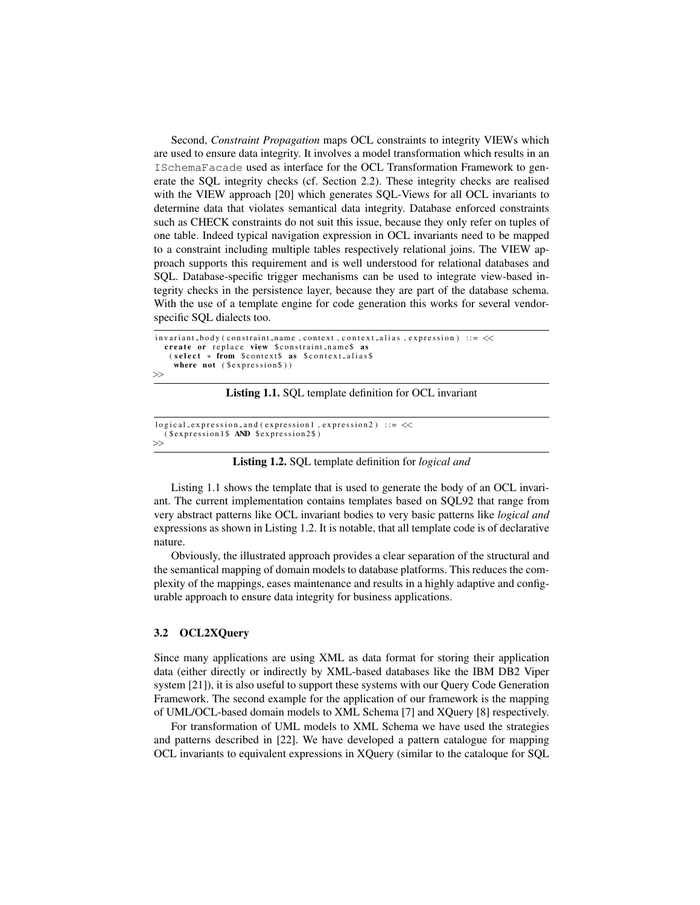Second, *Constraint Propagation* maps OCL constraints to integrity VIEWs which are used to ensure data integrity. It involves a model transformation which results in an ISchemaFacade used as interface for the OCL Transformation Framework to generate the SQL integrity checks (cf. Section 2.2). These integrity checks are realised with the VIEW approach [20] which generates SQL-Views for all OCL invariants to determine data that violates semantical data integrity. Database enforced constraints such as CHECK constraints do not suit this issue, because they only refer on tuples of one table. Indeed typical navigation expression in OCL invariants need to be mapped to a constraint including multiple tables respectively relational joins. The VIEW approach supports this requirement and is well understood for relational databases and SQL. Database-specific trigger mechanisms can be used to integrate view-based integrity checks in the persistence layer, because they are part of the database schema. With the use of a template engine for code generation this works for several vendorspecific SQL dialects too.

```
\text{invariant-body} (constraint_name, context, context_alias, expression) ::= \llcreate or replace view $constraint_name$ as
   \epsilon ( select * from $context$ as $context_alias$
     where not ($expression$))
>>
```
Listing 1.1. SQL template definition for OCL invariant

```
logical_{expression\_and} (expression1, expression2) ::= <<
  ( $expression 1$ AND $ expression 2$)
>>
```
#### Listing 1.2. SQL template definition for *logical and*

Listing 1.1 shows the template that is used to generate the body of an OCL invariant. The current implementation contains templates based on SQL92 that range from very abstract patterns like OCL invariant bodies to very basic patterns like *logical and* expressions as shown in Listing 1.2. It is notable, that all template code is of declarative nature.

Obviously, the illustrated approach provides a clear separation of the structural and the semantical mapping of domain models to database platforms. This reduces the complexity of the mappings, eases maintenance and results in a highly adaptive and configurable approach to ensure data integrity for business applications.

### 3.2 OCL2XQuery

Since many applications are using XML as data format for storing their application data (either directly or indirectly by XML-based databases like the IBM DB2 Viper system [21]), it is also useful to support these systems with our Query Code Generation Framework. The second example for the application of our framework is the mapping of UML/OCL-based domain models to XML Schema [7] and XQuery [8] respectively.

For transformation of UML models to XML Schema we have used the strategies and patterns described in [22]. We have developed a pattern catalogue for mapping OCL invariants to equivalent expressions in XQuery (similar to the cataloque for SQL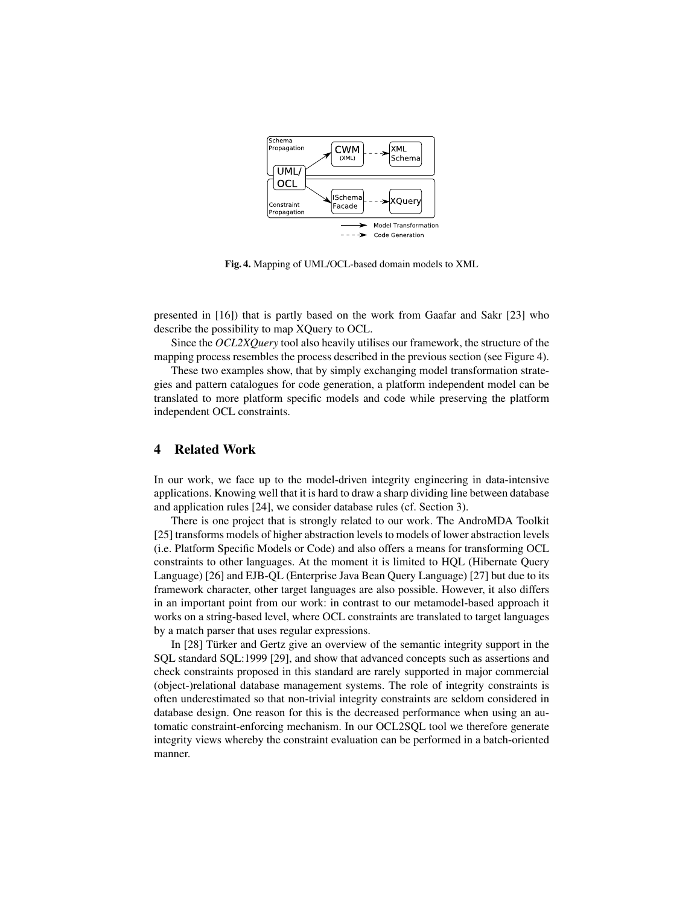

Fig. 4. Mapping of UML/OCL-based domain models to XML

presented in [16]) that is partly based on the work from Gaafar and Sakr [23] who describe the possibility to map XQuery to OCL.

Since the *OCL2XQuery* tool also heavily utilises our framework, the structure of the mapping process resembles the process described in the previous section (see Figure 4).

These two examples show, that by simply exchanging model transformation strategies and pattern catalogues for code generation, a platform independent model can be translated to more platform specific models and code while preserving the platform independent OCL constraints.

### 4 Related Work

In our work, we face up to the model-driven integrity engineering in data-intensive applications. Knowing well that it is hard to draw a sharp dividing line between database and application rules [24], we consider database rules (cf. Section 3).

There is one project that is strongly related to our work. The AndroMDA Toolkit [25] transforms models of higher abstraction levels to models of lower abstraction levels (i.e. Platform Specific Models or Code) and also offers a means for transforming OCL constraints to other languages. At the moment it is limited to HQL (Hibernate Query Language) [26] and EJB-QL (Enterprise Java Bean Query Language) [27] but due to its framework character, other target languages are also possible. However, it also differs in an important point from our work: in contrast to our metamodel-based approach it works on a string-based level, where OCL constraints are translated to target languages by a match parser that uses regular expressions.

In [28] Türker and Gertz give an overview of the semantic integrity support in the SQL standard SQL:1999 [29], and show that advanced concepts such as assertions and check constraints proposed in this standard are rarely supported in major commercial (object-)relational database management systems. The role of integrity constraints is often underestimated so that non-trivial integrity constraints are seldom considered in database design. One reason for this is the decreased performance when using an automatic constraint-enforcing mechanism. In our OCL2SQL tool we therefore generate integrity views whereby the constraint evaluation can be performed in a batch-oriented manner.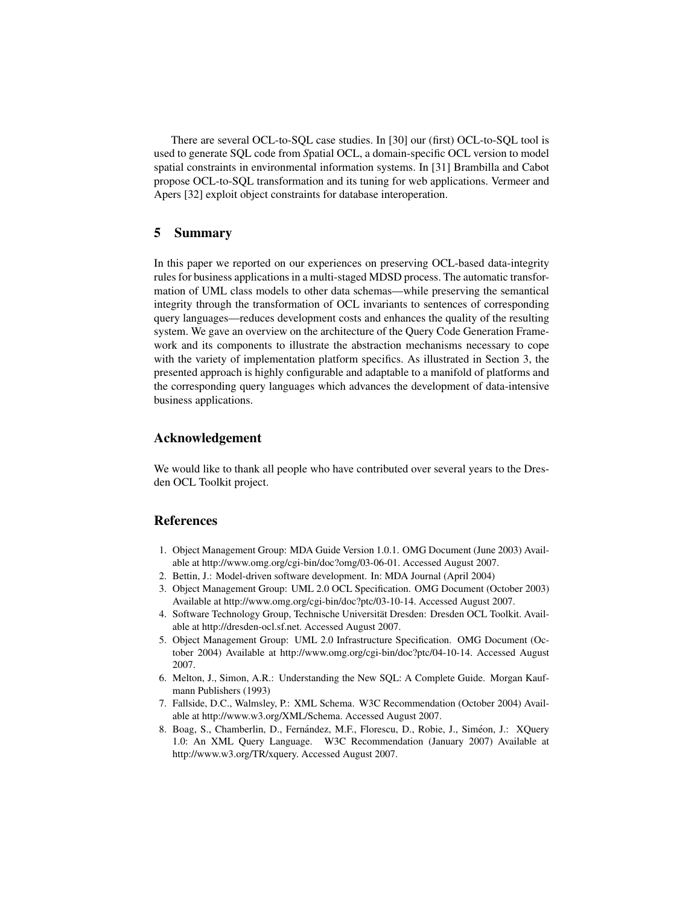There are several OCL-to-SQL case studies. In [30] our (first) OCL-to-SQL tool is used to generate SQL code from *S*patial OCL, a domain-specific OCL version to model spatial constraints in environmental information systems. In [31] Brambilla and Cabot propose OCL-to-SQL transformation and its tuning for web applications. Vermeer and Apers [32] exploit object constraints for database interoperation.

## 5 Summary

In this paper we reported on our experiences on preserving OCL-based data-integrity rules for business applications in a multi-staged MDSD process. The automatic transformation of UML class models to other data schemas—while preserving the semantical integrity through the transformation of OCL invariants to sentences of corresponding query languages—reduces development costs and enhances the quality of the resulting system. We gave an overview on the architecture of the Query Code Generation Framework and its components to illustrate the abstraction mechanisms necessary to cope with the variety of implementation platform specifics. As illustrated in Section 3, the presented approach is highly configurable and adaptable to a manifold of platforms and the corresponding query languages which advances the development of data-intensive business applications.

## Acknowledgement

We would like to thank all people who have contributed over several years to the Dresden OCL Toolkit project.

# References

- 1. Object Management Group: MDA Guide Version 1.0.1. OMG Document (June 2003) Available at http://www.omg.org/cgi-bin/doc?omg/03-06-01. Accessed August 2007.
- 2. Bettin, J.: Model-driven software development. In: MDA Journal (April 2004)
- 3. Object Management Group: UML 2.0 OCL Specification. OMG Document (October 2003) Available at http://www.omg.org/cgi-bin/doc?ptc/03-10-14. Accessed August 2007.
- 4. Software Technology Group, Technische Universität Dresden: Dresden OCL Toolkit. Available at http://dresden-ocl.sf.net. Accessed August 2007.
- 5. Object Management Group: UML 2.0 Infrastructure Specification. OMG Document (October 2004) Available at http://www.omg.org/cgi-bin/doc?ptc/04-10-14. Accessed August 2007.
- 6. Melton, J., Simon, A.R.: Understanding the New SQL: A Complete Guide. Morgan Kaufmann Publishers (1993)
- 7. Fallside, D.C., Walmsley, P.: XML Schema. W3C Recommendation (October 2004) Available at http://www.w3.org/XML/Schema. Accessed August 2007.
- 8. Boag, S., Chamberlin, D., Fernández, M.F., Florescu, D., Robie, J., Siméon, J.: XQuery 1.0: An XML Query Language. W3C Recommendation (January 2007) Available at http://www.w3.org/TR/xquery. Accessed August 2007.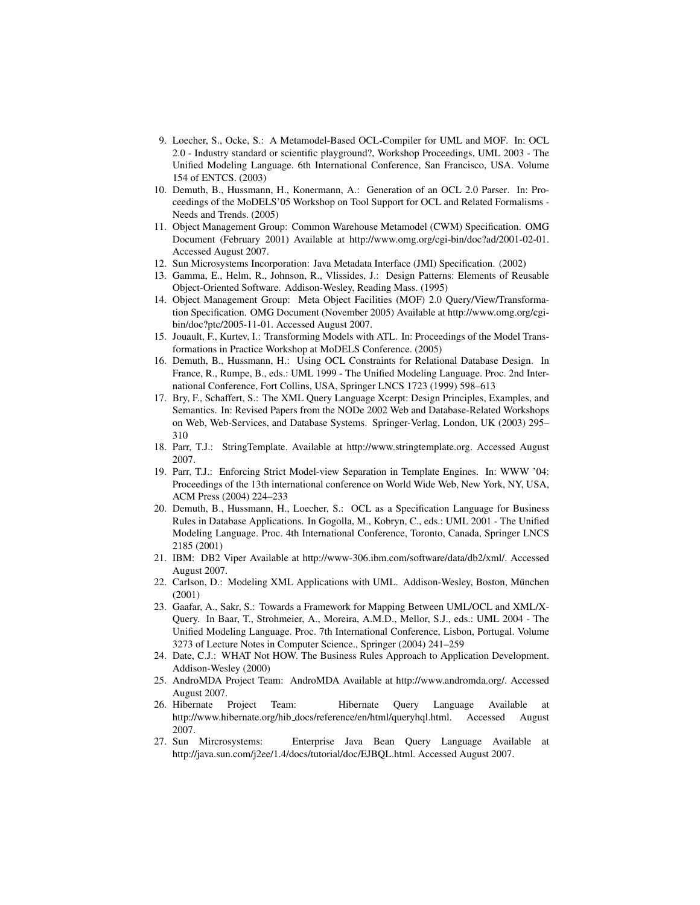- 9. Loecher, S., Ocke, S.: A Metamodel-Based OCL-Compiler for UML and MOF. In: OCL 2.0 - Industry standard or scientific playground?, Workshop Proceedings, UML 2003 - The Unified Modeling Language. 6th International Conference, San Francisco, USA. Volume 154 of ENTCS. (2003)
- 10. Demuth, B., Hussmann, H., Konermann, A.: Generation of an OCL 2.0 Parser. In: Proceedings of the MoDELS'05 Workshop on Tool Support for OCL and Related Formalisms - Needs and Trends. (2005)
- 11. Object Management Group: Common Warehouse Metamodel (CWM) Specification. OMG Document (February 2001) Available at http://www.omg.org/cgi-bin/doc?ad/2001-02-01. Accessed August 2007.
- 12. Sun Microsystems Incorporation: Java Metadata Interface (JMI) Specification. (2002)
- 13. Gamma, E., Helm, R., Johnson, R., Vlissides, J.: Design Patterns: Elements of Reusable Object-Oriented Software. Addison-Wesley, Reading Mass. (1995)
- 14. Object Management Group: Meta Object Facilities (MOF) 2.0 Query/View/Transformation Specification. OMG Document (November 2005) Available at http://www.omg.org/cgibin/doc?ptc/2005-11-01. Accessed August 2007.
- 15. Jouault, F., Kurtev, I.: Transforming Models with ATL. In: Proceedings of the Model Transformations in Practice Workshop at MoDELS Conference. (2005)
- 16. Demuth, B., Hussmann, H.: Using OCL Constraints for Relational Database Design. In France, R., Rumpe, B., eds.: UML 1999 - The Unified Modeling Language. Proc. 2nd International Conference, Fort Collins, USA, Springer LNCS 1723 (1999) 598–613
- 17. Bry, F., Schaffert, S.: The XML Query Language Xcerpt: Design Principles, Examples, and Semantics. In: Revised Papers from the NODe 2002 Web and Database-Related Workshops on Web, Web-Services, and Database Systems. Springer-Verlag, London, UK (2003) 295– 310
- 18. Parr, T.J.: StringTemplate. Available at http://www.stringtemplate.org. Accessed August 2007.
- 19. Parr, T.J.: Enforcing Strict Model-view Separation in Template Engines. In: WWW '04: Proceedings of the 13th international conference on World Wide Web, New York, NY, USA, ACM Press (2004) 224–233
- 20. Demuth, B., Hussmann, H., Loecher, S.: OCL as a Specification Language for Business Rules in Database Applications. In Gogolla, M., Kobryn, C., eds.: UML 2001 - The Unified Modeling Language. Proc. 4th International Conference, Toronto, Canada, Springer LNCS 2185 (2001)
- 21. IBM: DB2 Viper Available at http://www-306.ibm.com/software/data/db2/xml/. Accessed August 2007.
- 22. Carlson, D.: Modeling XML Applications with UML. Addison-Wesley, Boston, Munchen ¨ (2001)
- 23. Gaafar, A., Sakr, S.: Towards a Framework for Mapping Between UML/OCL and XML/X-Query. In Baar, T., Strohmeier, A., Moreira, A.M.D., Mellor, S.J., eds.: UML 2004 - The Unified Modeling Language. Proc. 7th International Conference, Lisbon, Portugal. Volume 3273 of Lecture Notes in Computer Science., Springer (2004) 241–259
- 24. Date, C.J.: WHAT Not HOW. The Business Rules Approach to Application Development. Addison-Wesley (2000)
- 25. AndroMDA Project Team: AndroMDA Available at http://www.andromda.org/. Accessed August 2007.
- 26. Hibernate Project Team: Hibernate Query Language Available at http://www.hibernate.org/hib docs/reference/en/html/queryhql.html. Accessed August 2007.
- 27. Sun Mircrosystems: Enterprise Java Bean Query Language Available at http://java.sun.com/j2ee/1.4/docs/tutorial/doc/EJBQL.html. Accessed August 2007.